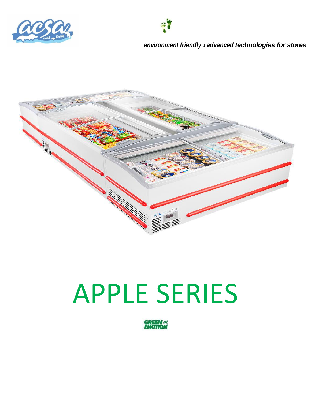



#### *environment friendly & advanced technologies for stores*



# APPLE SERIES

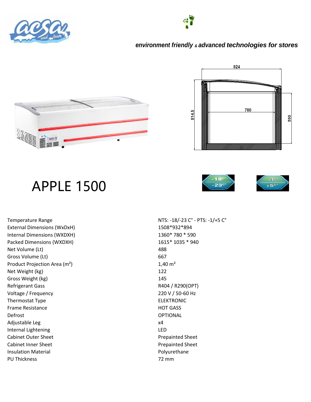







## APPLE 1500





External Dimensions (WxDxH) 1508\*932\*894 Internal Dimensions (WXDXH) 1360\* 780 \* 590 Packed Dimensions (WXDXH) 1615\* 1035 \* 940 Net Volume (Lt) 488 Gross Volume (Lt) 667 Product Projection Area (m<sup>2</sup>) 1,40 m<sup>2</sup> Net Weight (kg) 122 Gross Weight (kg) 145 Refrigerant Gass Refrigerant Gass RADA / R290(OPT) Voltage / Frequency 220 V / 50-60 Hz Thermostat Type **ELEKTRONIC** Frame Resistance **HOT GASS** Defrost OPTIONAL Adjustable Leg x4 Internal Lightening LED Cabinet Outer Sheet **Prepainted Sheet** Prepainted Sheet Cabinet Inner Sheet **Prepainted Sheet** Prepainted Sheet Insulation Material **Polyurethane** PU Thickness 72 mm

Temperature Range NTS: -18/-23 C° - PTS: -1/+5 C°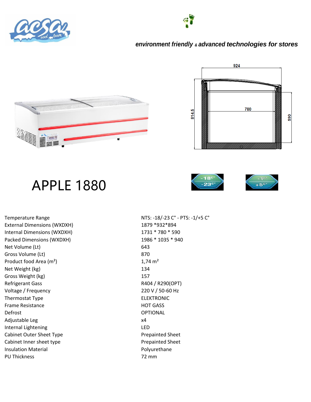



#### *environment friendly & advanced technologies for stores*





## APPLE 1880



External Dimensions (WXDXH) 1879 \*932 \*894 Internal Dimensions (WXDXH) 1731 \* 780 \* 590 Packed Dimensions (WXDXH) 1986 \* 1035 \* 940 Net Volume (Lt) 643 Gross Volume (Lt) 870 Product food Area  $(m^2)$  1,74 m<sup>2</sup> Net Weight (kg) 134 Gross Weight (kg) 157 Refrigerant Gass Refrigerant Gass RAD4 / R290(OPT) Voltage / Frequency 220 V / 50-60 Hz Thermostat Type **ELEKTRONIC** Frame Resistance **HOT GASS** Defrost OPTIONAL Adjustable Leg x4 Internal Lightening LED Cabinet Outer Sheet Type **Prepainted Sheet** Prepainted Sheet Cabinet Inner sheet type **Prepainted Sheet** Prepainted Sheet Insulation Material **Polyurethane** PU Thickness 72 mm

Temperature Range NTS: -18/-23 C° - PTS: -1/+5 C°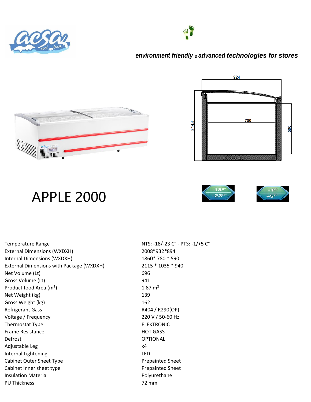







924

#### APPLE 2000



External Dimensions (WXDXH) 2008\*932\*894 Internal Dimensions (WXDXH) 1860\* 780 \* 590 External Dimensions with Package (WXDXH) 2115 \* 1035 \* 940 Net Volume (Lt) 696 Gross Volume (Lt) 941 Product food Area  $(m^2)$  1,87 m<sup>2</sup> Net Weight (kg) 139 Gross Weight (kg) 162 Refrigerant Gass **R404 / R290(OP)** Voltage / Frequency 220 V / 50-60 Hz Thermostat Type **ELEKTRONIC** Frame Resistance **HOT GASS** Defrost OPTIONAL Adjustable Leg x4 Internal Lightening LED Cabinet Outer Sheet Type **Prepainted Sheet** Prepainted Sheet Cabinet Inner sheet type **Prepainted Sheet** Prepainted Sheet Insulation Material **Polyurethane** PU Thickness 72 mm

Temperature Range NTS: -18/-23 C° - PTS: -1/+5 C°

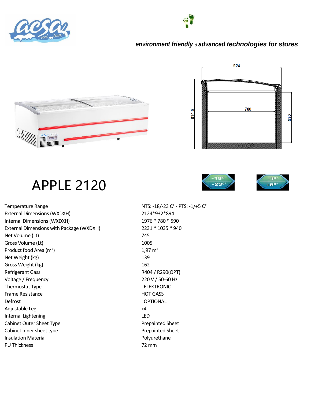







#### APPLE 2120





Temperature Range NTS: -18/-23 C° - PTS: -1/+5 C° External Dimensions (WXDXH) 2124\*932\*894 Internal Dimensions (WXDXH) 1976 \* 780 \* 590 External Dimensions with Package (WXDXH) 2231 \* 1035 \* 940 Net Volume (Lt) 745 Gross Volume (Lt) 1005 Product food Area  $(m^2)$  1,97 m<sup>2</sup> Net Weight (kg) 139 Gross Weight (kg) 162 Refrigerant Gass **RADA** / R290(OPT) Voltage / Frequency 220 V / 50-60 Hz Thermostat Type **ELEKTRONIC** Frame Resistance HOT GASS Defrost OPTIONAL Adjustable Leg x4 Internal Lightening LED Cabinet Outer Sheet Type **Prepainted Sheet** Prepainted Sheet Cabinet Inner sheet type **Prepainted Sheet** Insulation Material **Polyurethane** PU Thickness 72 mm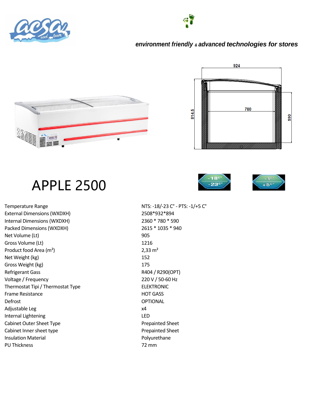

#### *environment friendly & advanced technologies for stores*





## APPLE 2500





Temperature Range NTS: -18/-23 C° - PTS: -1/+5 C° External Dimensions (WXDXH) 2508\*932\*894 Internal Dimensions (WXDXH) 2360 \* 780 \* 590 Packed Dimensions (WXDXH) 2615 \* 1035 \* 940 Net Volume (Lt) 905 Gross Volume (Lt) 1216 Product food Area (m<sup>2</sup>) 2,33 m<sup>2</sup> Net Weight (kg) 152 Gross Weight (kg) 175 Refrigerant Gass **RADA** / R290(OPT) Voltage / Frequency 220 V / 50-60 Hz Thermostat Tipi / Thermostat Type ELEKTRONIC Frame Resistance HOT GASS Defrost OPTIONAL Adjustable Leg x4 Internal Lightening LED Cabinet Outer Sheet Type **Prepainted Sheet** Prepainted Sheet Cabinet Inner sheet type **Prepainted Sheet** Insulation Material **Polyurethane** PU Thickness 72 mm